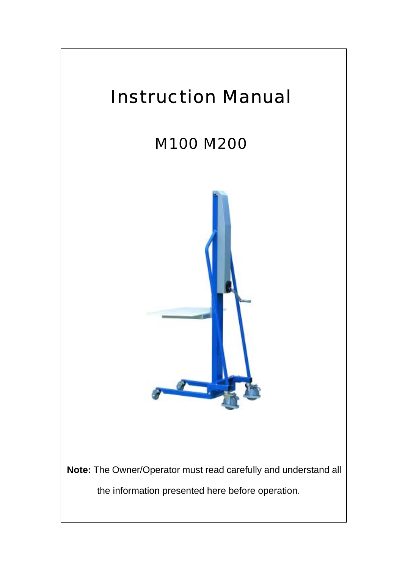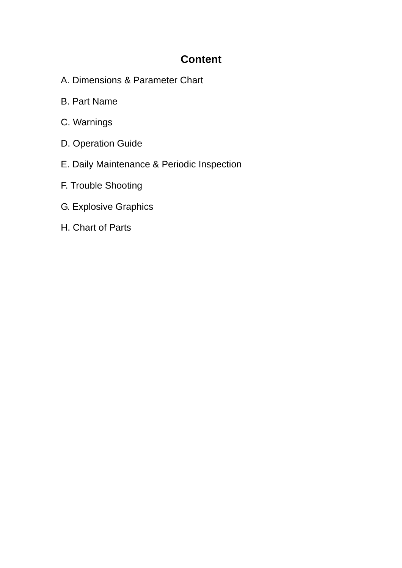# **Content**

- A. Dimensions & Parameter Chart
- B. Part Name
- C. Warnings
- D. Operation Guide
- E. Daily Maintenance & Periodic Inspection
- F. Trouble Shooting
- G. Explosive Graphics
- H. Chart of Parts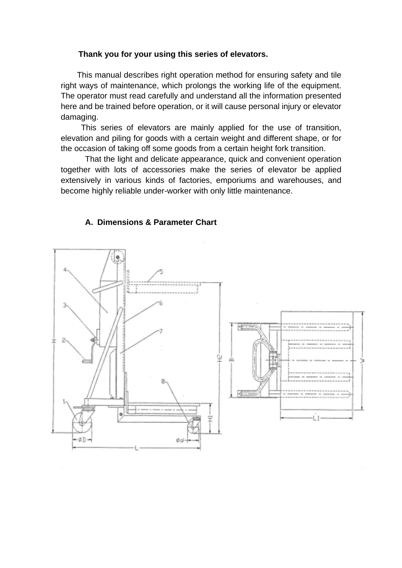## **Thank you for your using this series of elevators.**

 This manual describes right operation method for ensuring safety and tile right ways of maintenance, which prolongs the working life of the equipment. The operator must read carefully and understand all the information presented here and be trained before operation, or it will cause personal injury or elevator damaging.

 This series of elevators are mainly applied for the use of transition, elevation and piling for goods with a certain weight and different shape, or for the occasion of taking off some goods from a certain height fork transition.

That the light and delicate appearance, quick and convenient operation together with lots of accessories make the series of elevator be applied extensively in various kinds of factories, emporiums and warehouses, and become highly reliable under-worker with only little maintenance.

## **A. Dimensions & Parameter Chart**

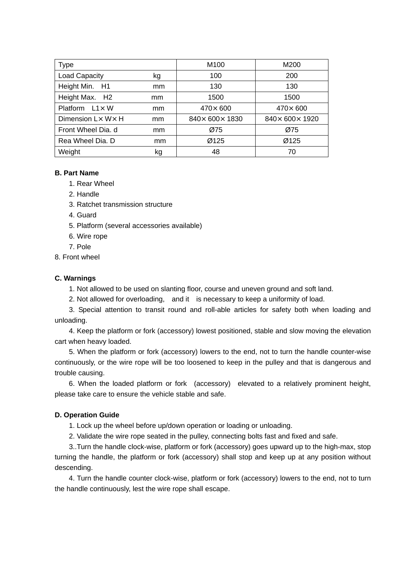| <b>Type</b>            |    | M100                         | M200                         |
|------------------------|----|------------------------------|------------------------------|
| <b>Load Capacity</b>   | kg | 100                          | 200                          |
| Height Min. H1         | mm | 130                          | 130                          |
| Height Max. H2         | mm | 1500                         | 1500                         |
| Platform $L1 \times W$ | mm | $470\times 600$              | 470×600                      |
| Dimension L× W× H      | mm | $840 \times 600 \times 1830$ | $840 \times 600 \times 1920$ |
| Front Wheel Dia, d     | mm | Ø75                          | Ø75                          |
| Rea Wheel Dia, D       | mm | Ø125                         | Ø125                         |
| Weight                 | kg | 48                           | 70                           |

#### **B. Part Name**

- 1. Rear Wheel
- 2. Handle
- 3. Ratchet transmission structure
- 4. Guard
- 5. Platform (several accessories available)
- 6. Wire rope
- 7. Pole
- 8. Front wheel

#### **C. Warnings**

1. Not allowed to be used on slanting floor, course and uneven ground and soft land.

2. Not allowed for overloading, and it is necessary to keep a uniformity of load.

 3. Special attention to transit round and roll-able articles for safety both when loading and unloading.

 4. Keep the platform or fork (accessory) lowest positioned, stable and slow moving the elevation cart when heavy loaded.

 5. When the platform or fork (accessory) lowers to the end, not to turn the handle counter-wise continuously, or the wire rope will be too loosened to keep in the pulley and that is dangerous and trouble causing.

6. When the loaded platform or fork (accessory) elevated to a relatively prominent height, please take care to ensure the vehicle stable and safe.

#### **D. Operation Guide**

1. Lock up the wheel before up/down operation or loading or unloading.

2. Validate the wire rope seated in the pulley, connecting bolts fast and fixed and safe.

 3..Turn the handle clock-wise, platform or fork (accessory) goes upward up to the high-max, stop turning the handle, the platform or fork (accessory) shall stop and keep up at any position without descending.

4. Turn the handle counter clock-wise, platform or fork (accessory) lowers to the end, not to turn the handle continuously, lest the wire rope shall escape.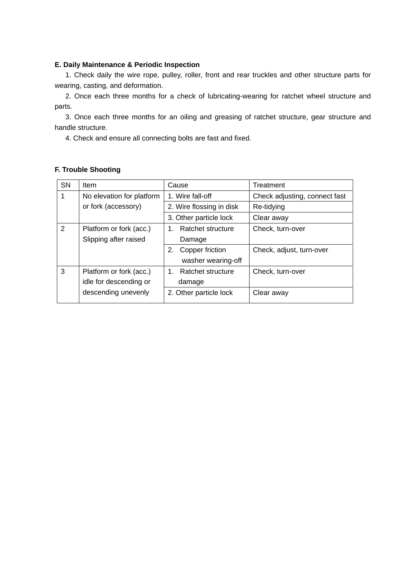#### **E. Daily Maintenance & Periodic Inspection**

 1. Check daily the wire rope, pulley, roller, front and rear truckles and other structure parts for wearing, casting, and deformation.

 2. Once each three months for a check of lubricating-wearing for ratchet wheel structure and parts.

 3. Once each three months for an oiling and greasing of ratchet structure, gear structure and handle structure.

4. Check and ensure all connecting bolts are fast and fixed.

| <b>SN</b>      | Item                      | Cause                    | Treatment                     |
|----------------|---------------------------|--------------------------|-------------------------------|
|                | No elevation for platform | 1. Wire fall-off         | Check adjusting, connect fast |
|                | or fork (accessory)       | 2. Wire flossing in disk | Re-tidying                    |
|                |                           | 3. Other particle lock   | Clear away                    |
| $\overline{2}$ | Platform or fork (acc.)   | Ratchet structure        | Check, turn-over              |
|                | Slipping after raised     | Damage                   |                               |
|                |                           | Copper friction<br>2.    | Check, adjust, turn-over      |
|                |                           | washer wearing-off       |                               |
| 3              | Platform or fork (acc.)   | Ratchet structure<br>1   | Check, turn-over              |
|                | idle for descending or    | damage                   |                               |
|                | descending unevenly       | 2. Other particle lock   | Clear away                    |
|                |                           |                          |                               |

#### **F. Trouble Shooting**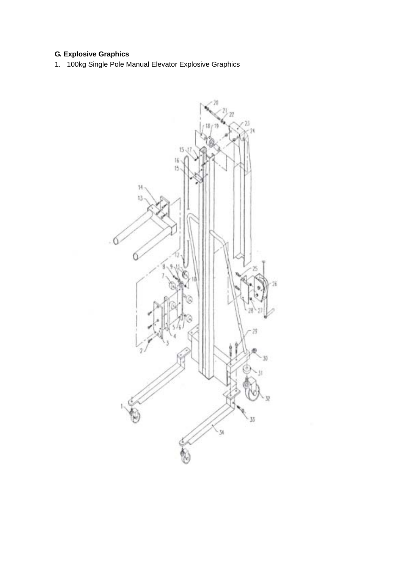# **G. Explosive Graphics**

1. 100kg Single Pole Manual Elevator Explosive Graphics

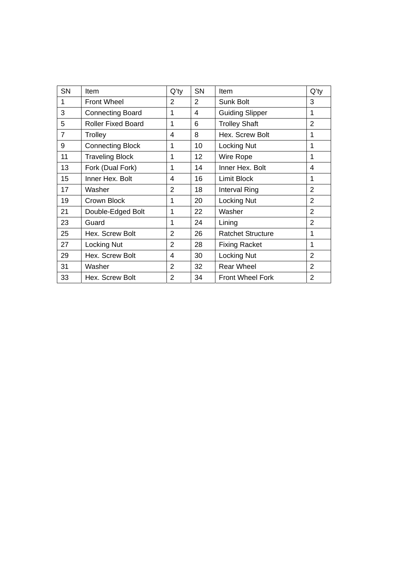| SN             | Item                      | $Q'$ ty        | SN              | Item                     | $Q'$ ty        |
|----------------|---------------------------|----------------|-----------------|--------------------------|----------------|
| 1              | <b>Front Wheel</b>        | $\overline{2}$ | 2               | Sunk Bolt                | 3              |
| 3              | <b>Connecting Board</b>   | 1              | 4               | <b>Guiding Slipper</b>   | 1              |
| 5              | <b>Roller Fixed Board</b> | 1              | 6               | <b>Trolley Shaft</b>     | $\overline{2}$ |
| $\overline{7}$ | Trolley                   | 4              | 8               | Hex. Screw Bolt          | 1              |
| 9              | <b>Connecting Block</b>   | 1              | 10              | Locking Nut              | 1              |
| 11             | <b>Traveling Block</b>    | 1              | 12 <sub>2</sub> | Wire Rope                | 1              |
| 13             | Fork (Dual Fork)          | 1              | 14              | Inner Hex. Bolt          | 4              |
| 15             | Inner Hex. Bolt           | 4              | 16              | <b>Limit Block</b>       | 1              |
| 17             | Washer                    | $\overline{2}$ | 18              | Interval Ring            | $\overline{2}$ |
| 19             | Crown Block               | 1              | 20              | Locking Nut              | $\overline{2}$ |
| 21             | Double-Edged Bolt         | 1              | 22              | Washer                   | $\overline{2}$ |
| 23             | Guard                     | 1              | 24              | Lining                   | $\overline{2}$ |
| 25             | Hex. Screw Bolt           | $\overline{2}$ | 26              | <b>Ratchet Structure</b> | 1              |
| 27             | Locking Nut               | $\overline{2}$ | 28              | <b>Fixing Racket</b>     | 1              |
| 29             | Hex. Screw Bolt           | 4              | 30              | <b>Locking Nut</b>       | $\overline{2}$ |
| 31             | Washer                    | 2              | 32              | <b>Rear Wheel</b>        | 2              |
| 33             | Hex. Screw Bolt           | $\overline{2}$ | 34              | <b>Front Wheel Fork</b>  | $\overline{2}$ |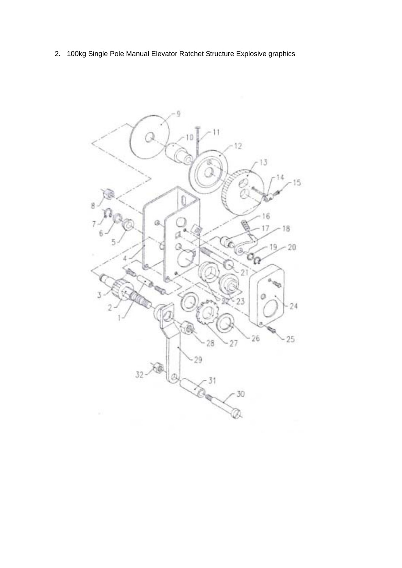2. 100kg Single Pole Manual Elevator Ratchet Structure Explosive graphics

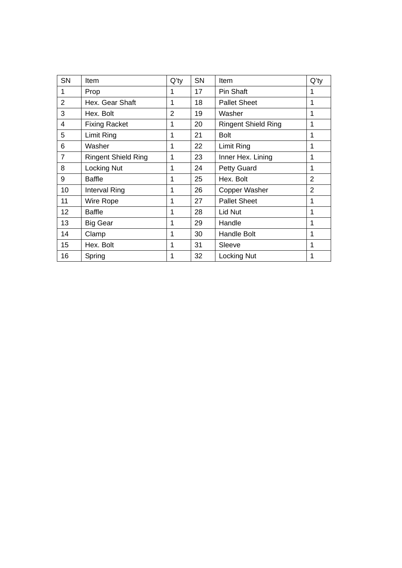| <b>SN</b>      | Item                       | $Q'$ ty | <b>SN</b> | <b>Item</b>                | $Q'$ ty        |
|----------------|----------------------------|---------|-----------|----------------------------|----------------|
| 1              | Prop                       | 1       | 17        | Pin Shaft                  | 1              |
| $\overline{2}$ | Hex. Gear Shaft            | 1       | 18        | <b>Pallet Sheet</b>        | 1              |
| 3              | Hex. Bolt                  | 2       | 19        | Washer                     | 1              |
| $\overline{4}$ | <b>Fixing Racket</b>       | 1       | 20        | <b>Ringent Shield Ring</b> | 1              |
| 5              | Limit Ring                 | 1       | 21        | <b>Bolt</b>                | 1              |
| 6              | Washer                     | 1       | 22        | Limit Ring                 | 1              |
| 7              | <b>Ringent Shield Ring</b> | 1       | 23        | Inner Hex. Lining          | 1              |
| 8              | Locking Nut                | 1       | 24        | <b>Petty Guard</b>         | 1              |
| 9              | <b>Baffle</b>              | 1       | 25        | Hex. Bolt                  | $\overline{2}$ |
| 10             | Interval Ring              | 1       | 26        | Copper Washer              | $\overline{2}$ |
| 11             | Wire Rope                  | 1       | 27        | <b>Pallet Sheet</b>        | 1              |
| 12             | <b>Baffle</b>              | 1       | 28        | Lid Nut                    | 1              |
| 13             | Big Gear                   | 1       | 29        | Handle                     | 1              |
| 14             | Clamp                      | 1       | 30        | <b>Handle Bolt</b>         | 1              |
| 15             | Hex. Bolt                  | 1       | 31        | Sleeve                     | 1              |
| 16             | Spring                     | 1       | 32        | <b>Locking Nut</b>         | 1              |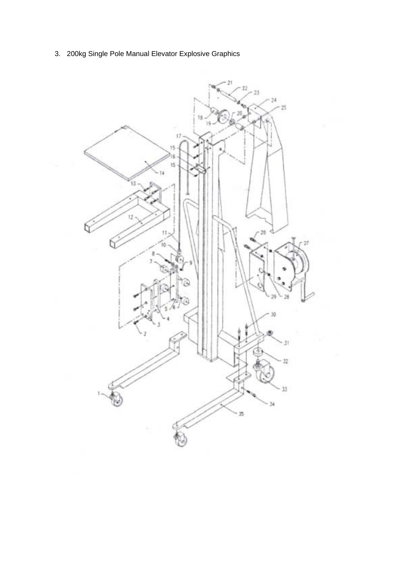3. 200kg Single Pole Manual Elevator Explosive Graphics

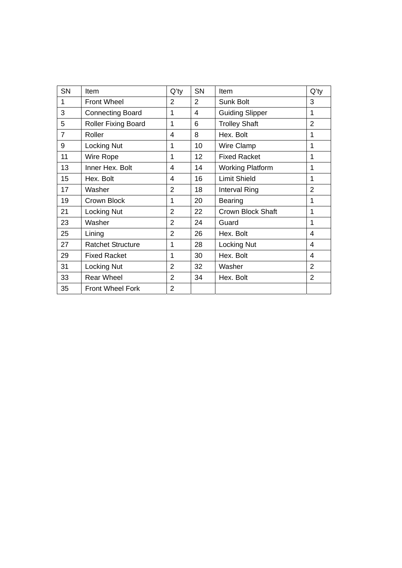| SN             | Item                       | $Q'$ ty        | SN | Item                     | $Q'$ ty        |
|----------------|----------------------------|----------------|----|--------------------------|----------------|
| 1              | <b>Front Wheel</b>         | 2              | 2  | <b>Sunk Bolt</b>         | 3              |
| 3              | <b>Connecting Board</b>    | 1              | 4  | <b>Guiding Slipper</b>   | 1              |
| 5              | <b>Roller Fixing Board</b> | 1              | 6  | <b>Trolley Shaft</b>     | $\overline{2}$ |
| $\overline{7}$ | Roller                     | $\overline{4}$ | 8  | Hex. Bolt                | 1              |
| 9              | Locking Nut                | 1              | 10 | Wire Clamp               | 1              |
| 11             | Wire Rope                  | 1              | 12 | <b>Fixed Racket</b>      | 1              |
| 13             | Inner Hex. Bolt            | $\overline{4}$ | 14 | <b>Working Platform</b>  | 1              |
| 15             | Hex. Bolt                  | $\overline{4}$ | 16 | <b>Limit Shield</b>      | 1              |
| 17             | Washer                     | $\overline{2}$ | 18 | <b>Interval Ring</b>     | $\overline{2}$ |
| 19             | Crown Block                | 1              | 20 | <b>Bearing</b>           | 1              |
| 21             | Locking Nut                | $\overline{2}$ | 22 | <b>Crown Block Shaft</b> | 1              |
| 23             | Washer                     | $\overline{2}$ | 24 | Guard                    | 1              |
| 25             | Lining                     | $\overline{2}$ | 26 | Hex. Bolt                | 4              |
| 27             | <b>Ratchet Structure</b>   | 1              | 28 | <b>Locking Nut</b>       | $\overline{4}$ |
| 29             | <b>Fixed Racket</b>        | 1              | 30 | Hex. Bolt                | 4              |
| 31             | Locking Nut                | $\overline{2}$ | 32 | Washer                   | $\overline{2}$ |
| 33             | <b>Rear Wheel</b>          | $\overline{2}$ | 34 | Hex. Bolt                | $\overline{2}$ |
| 35             | <b>Front Wheel Fork</b>    | $\overline{2}$ |    |                          |                |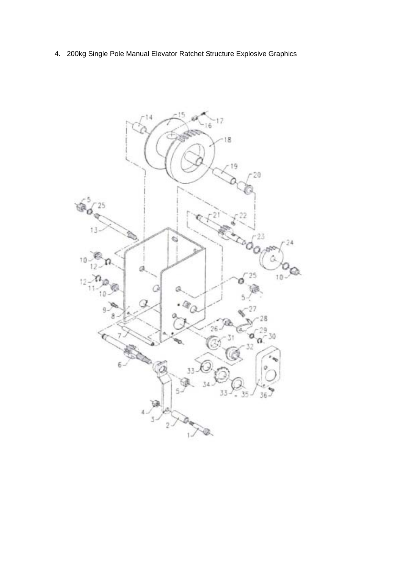4. 200kg Single Pole Manual Elevator Ratchet Structure Explosive Graphics